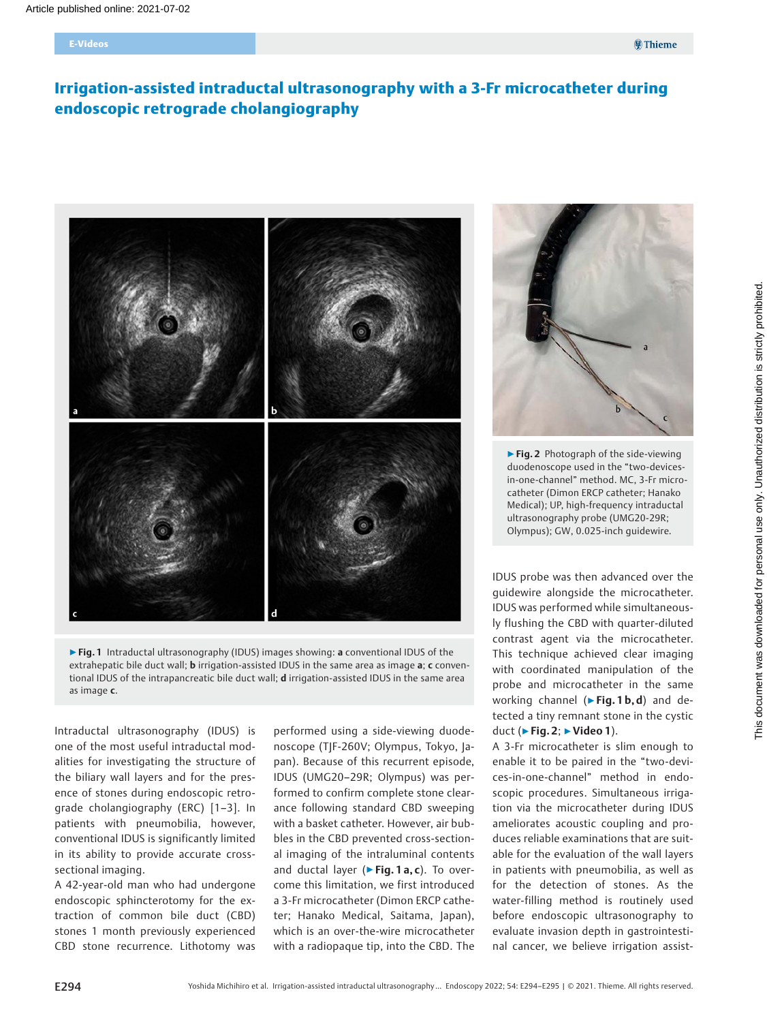# Irrigation-assisted intraductal ultrasonography with a 3-Fr microcatheter during endoscopic retrograde cholangiography





Intraductal ultrasonography (IDUS) is one of the most useful intraductal modalities for investigating the structure of the biliary wall layers and for the presence of stones during endoscopic retrograde cholangiography (ERC) [1–3]. In patients with pneumobilia, however, conventional IDUS is significantly limited in its ability to provide accurate crosssectional imaging.

A 42-year-old man who had undergone endoscopic sphincterotomy for the extraction of common bile duct (CBD) stones 1 month previously experienced CBD stone recurrence. Lithotomy was

performed using a side-viewing duodenoscope (TJF-260V; Olympus, Tokyo, Japan). Because of this recurrent episode, IDUS (UMG20–29R; Olympus) was performed to confirm complete stone clearance following standard CBD sweeping with a basket catheter. However, air bubbles in the CBD prevented cross-sectional imaging of the intraluminal contents and ductal layer ( $\triangleright$  Fig. 1 a, c). To overcome this limitation, we first introduced a 3-Fr microcatheter (Dimon ERCP catheter; Hanako Medical, Saitama, Japan), which is an over-the-wire microcatheter with a radiopaque tip, into the CBD. The



▶ Fig. 2 Photograph of the side-viewing duodenoscope used in the "two-devicesin-one-channel" method. MC, 3-Fr microcatheter (Dimon ERCP catheter; Hanako Medical); UP, high-frequency intraductal ultrasonography probe (UMG20-29R; Olympus); GW, 0.025-inch guidewire.

IDUS probe was then advanced over the guidewire alongside the microcatheter. IDUS was performed while simultaneously flushing the CBD with quarter-diluted contrast agent via the microcatheter. This technique achieved clear imaging with coordinated manipulation of the probe and microcatheter in the same working channel ( $\triangleright$  Fig. 1 b, d) and detected a tiny remnant stone in the cystic duct (▶Fig. 2; ▶Video 1).

A 3-Fr microcatheter is slim enough to enable it to be paired in the "two-devices-in-one-channel" method in endoscopic procedures. Simultaneous irrigation via the microcatheter during IDUS ameliorates acoustic coupling and produces reliable examinations that are suitable for the evaluation of the wall layers in patients with pneumobilia, as well as for the detection of stones. As the water-filling method is routinely used before endoscopic ultrasonography to evaluate invasion depth in gastrointestinal cancer, we believe irrigation assist-